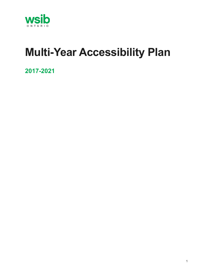

# **Multi-Year Accessibility Plan**

**2017-2021**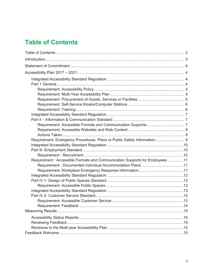# <span id="page-1-0"></span>**Table of Contents**

| Requirement: Emergency Procedures, Plans or Public Safety Information 9    |  |
|----------------------------------------------------------------------------|--|
|                                                                            |  |
|                                                                            |  |
|                                                                            |  |
| Requirement: Accessible Formats and Communication Supports for Employees11 |  |
|                                                                            |  |
|                                                                            |  |
|                                                                            |  |
|                                                                            |  |
|                                                                            |  |
|                                                                            |  |
|                                                                            |  |
|                                                                            |  |
|                                                                            |  |
|                                                                            |  |
|                                                                            |  |
|                                                                            |  |
|                                                                            |  |
|                                                                            |  |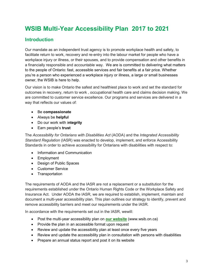# **WSIB Multi-Year Accessibility Plan 2017 to 2021**

# <span id="page-2-0"></span>**Introduction**

Our mandate as an independent trust agency is to promote workplace health and safety, to facilitate return to work, recovery and re-entry into the labour market for people who have a workplace injury or illness, or their spouses, and to provide compensation and other benefits in a financially responsible and accountable way. We are is committed to delivering what matters to the people of Ontario: fast, accessible services and fair benefits at a fair price. Whether you're a person who experienced a workplace injury or illness, a large or small businesses owner, the WSIB is here to help.

Our vision is to make Ontario the safest and healthiest place to work and set the standard for outcomes in recovery, return to work , occupational health care and claims decision making. We are committed to customer service excellence. Our programs and services are delivered in a way that reflects our values of:

- Be **compassionate**
- Always be **helpful**
- Do our work with i**ntegrity**
- Earn people's **trust**

The *Accessibility for Ontarians with Disabilities Act* (AODA) and the *Integrated Accessibility Standard Regulation* (IASR) was enacted to develop, implement, and enforce Accessibility Standards in order to achieve accessibility for Ontarians with disabilities with respect to:

- Information and Communication
- Employment
- Design of Public Spaces
- Customer Service
- Transportation

The requirements of AODA and the IASR are not a replacement or a substitution for the requirements established under the Ontario Human Rights Code or the Workplace Safety and Insurance Act. Under AODA the IASR, we are required to establish, implement, maintain and document a multi-year accessibility plan. This plan outlines our strategy to identify, prevent and remove accessibility barriers and meet our requirements under the IASR.

In accordance with the requirements set out in the IASR, wewill:

- Post the multi-year accessibility plan on **[our website](http://www.wsib.on.ca/WSIBPortal/faces/WSIBHomePage?_afrLoop=2313445206428000&_afrWindowMode=0&)** (www.wsib.on.ca)
- Provide the plan in an accessible format upon request
- Review and update the accessibility plan at least once every five years
- Review and update the accessibility plan in consultation with persons with disabilities
- Prepare an annual status report and post it on its website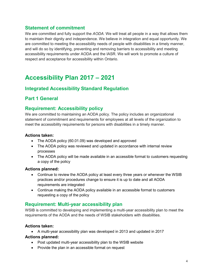# <span id="page-3-0"></span>**Statement of commitment**

We are committed and fully support the *AODA.* We will treat all people in a way that allows them to maintain their dignity and independence. We believe in integration and equal opportunity. We are committed to meeting the accessibility needs of people with disabilities in a timely manner, and will do so by identifying, preventing and removing barriers to accessibility and meeting accessibility requirements under AODA and the IASR. We will work to promote a culture of respect and acceptance for accessibility within Ontario.

# <span id="page-3-1"></span>**Accessibility Plan 2017 – 2021**

# <span id="page-3-2"></span>**Integrated Accessibility Standard Regulation**

# <span id="page-3-3"></span>**Part 1 General**

# <span id="page-3-4"></span>**Requirement: Accessibility policy**

We are committed to maintaining an AODA policy. The policy includes an organizational statement of commitment and requirements for employees at all levels of the organization to meet the accessibility requirements for persons with disabilities in a timely manner.

#### **Actions taken:**

- The AODA policy (60.01.09) was developed and approved
- The AODA policy was reviewed and updated in accordance with internal review processes
- The AODA policy will be made available in an accessible format to customers requesting a copy of the policy

#### **Actions planned:**

- Continue to review the AODA policy at least every three years or whenever the WSIB practices and/or procedures change to ensure it is up to date and all AODA requirements are integrated
- Continue making the AODA policy available in an accessible format to customers requesting a copy of the policy

# <span id="page-3-5"></span>**Requirement: Multi-year accessibility plan**

WSIB is committed to developing and implementing a multi-year accessibility plan to meet the requirements of the AODA and the needs of WSIB stakeholders with disabilities.

#### **Actions taken:**

• A multi-year accessibility plan was developed in 2013 and updated in 2017

- Post updated multi-year accessibility plan to the WSIB website
- Provide the plan in an accessible format on request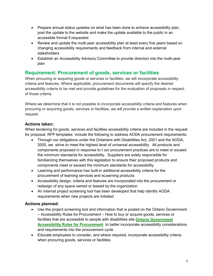- Prepare annual status updates on what has been done to achieve accessibility plan, post the update to the website and make the update available to the public in an accessible format if requested
- Review and update the multi-year accessibility plan at least every five years based on changing accessibility requirements and feedback from internal and external stakeholders
- Establish an Accessibility Advisory Committee to provide direction into the multi-year plan

# <span id="page-4-0"></span>**Requirement: Procurement of goods, services or facilities**

When procuring or acquiring goods or services or facilities, we will incorporate accessibility criteria and features. Where applicable, procurement documents will specify the desired accessibility criteria to be met and provide guidelines for the evaluation of proposals in respect of those criteria.

Where we determine that it is not possible to incorporate accessibility criteria and features when procuring or acquiring goods, services or facilities, we will provide a written explanation upon request.

#### **Actions taken:**

When tendering for goods, services and facilities accessibility criteria are included in the request for proposal. RFP templates include the following to address AODA procurement requirements:

- Through our obligations under the Ontarians with Disabilities Act, 2001 and the AODA, 2005, we strive to meet the highest level of universal accessibility. All products and components proposed in response to t our procurement practices are to meet or exceed the minimum standards for accessibility. Suppliers are solely responsible for familiarizing themselves with this legislation to ensure their proposed products and components meet or exceed the minimum standards for accessibility
- Learning and performance has built-in additional accessibility criteria for the procurement of learning services and eLearning products
- Accessibility design, criteria and features are incorporated into the procurement or redesign of any space owned or leased by the organization
- An internal project screening tool has been developed that help identify AODA requirements when new projects are initiated

- Use the project screening tool and information that is posted on the Ontario Government – Accessibility Rules for Procurement – How to buy or acquire goods, services or facilities that are accessible to people with disabilities site **[Ontario Government](https://www.ontario.ca/page/accessibility-rules-procurement)  [Accessibility Rules for Procurement](https://www.ontario.ca/page/accessibility-rules-procurement)** to better incorporate accessibility considerations and requirements into the procurement cycle
- Educate employees to consider, and where required, incorporate accessibility criteria when procuring goods, services or facilities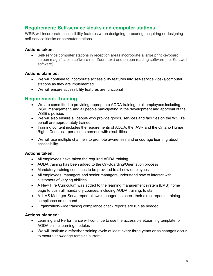# <span id="page-5-0"></span>**Requirement: Self-service kiosks and computer stations**

WSIB will incorporate accessibility features when designing, procuring, acquiring or designing self-service kiosks or computer stations.

#### **Actions taken:**

• Self-service computer stations in reception areas incorporate a large print keyboard, screen magnification software (i.e. Zoom text) and screen reading software (i.e. Kurzweil software)

#### **Actions planned:**

- We will continue to incorporate accessibility features into self-service kiosks/computer stations as they are implemented
- We will ensure accessibility features are functional

# <span id="page-5-1"></span>**Requirement: Training**

- We are committed to providing appropriate AODA training to all employees including WSIB management, and all people participating in the development and approval of the WSIB's policies
- We will also ensure all people who provide goods, services and facilities on the WSIB's behalf are appropriately trained
- Training content includes the requirements of AODA, the IASR and the Ontario Human Rights Code as it pertains to persons with disabilities
- We will use multiple channels to promote awareness and encourage learning about accessibility

#### **Actions taken:**

- All employees have taken the required AODA training
- AODA training has been added to the On-Boarding/Orientation process
- Mandatory training continues to be provided to all new employees
- All employees, managers and senior managers understand how to interact with customers of varying abilities
- A New Hire Curriculum was added to the learning management system (LMS) home page to push all mandatory courses, including AODA training, to staff
- A LMS Manager-Serve report allows managers to check their direct report's training compliance on demand
- Organization-wide training compliance check reports are run as needed

- Learning and Performance will continue to use the accessible eLearning template for AODA online learning modules
- We will Institute a refresher training cycle at least every three years or as changes occur to ensure knowledge remains current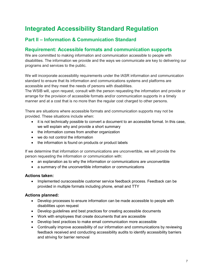# <span id="page-6-0"></span>**Integrated Accessibility Standard Regulation**

# <span id="page-6-1"></span>**Part ll – Information & Communication Standard**

# <span id="page-6-2"></span>**Requirement: Accessible formats and communication supports**

We are committed to making information and communication accessible to people with disabilities. The information we provide and the ways we communicate are key to delivering our programs and services to the public.

We will incorporate accessibility requirements under the IASR information and communication standard to ensure that its information and communications systems and platforms are accessible and they meet the needs of persons with disabilities.

The WSIB will, upon request, consult with the person requesting the information and provide or arrange for the provision of accessible formats and/or communication supports in a timely manner and at a cost that is no more than the regular cost charged to other persons.

There are situations where accessible formats and communication supports may not be provided. These situations include when:

- it is not technically possible to convert a document to an accessible format. In this case, we will explain why and provide a short summary
- the information comes from another organization
- we do not control the information
- the information is found on products or product labels

If we determine that information or communications are unconvertible, we will provide the person requesting the information or communication with:

- an explanation as to why the information or communications are unconvertible
- a summary of the unconvertible information or communications

#### **Actions taken:**

• Implemented ouraccessible customer service feedback process. Feedback can be provided in multiple formats including phone, email and TTY

- Develop processes to ensure information can be made accessible to people with disabilities upon request
- Develop guidelines and best practices for creating accessible documents
- Work with employees that create documents that are accessible
- Develop best practices to make email communication more accessible
- Continually improve accessibility of our information and communications by reviewing feedback received and conducting accessibility audits to identify accessibility barriers and striving for barrier removal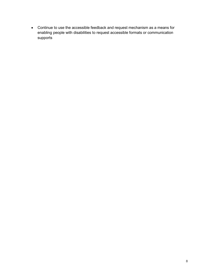• Continue to use the accessible feedback and request mechanism as a means for enabling people with disabilities to request accessible formats or communication supports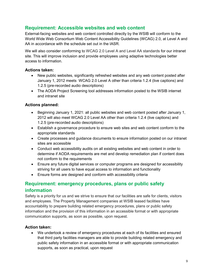# <span id="page-8-0"></span>**Requirement: Accessible websites and web content**

External-facing websites and web content controlled directly by the WSIB will conform to the World Wide Web Consortium Web Content Accessibility Guidelines (WCAG) 2.0, at Level A and AA in accordance with the schedule set out in the IASR.

We will also consider conforming to WCAG 2.0 Level A and Level AA standards for our intranet site. This will improve inclusion and provide employees using adaptive technologies better access to information.

#### <span id="page-8-1"></span>**Actions taken:**

- New public websites, significantly refreshed websites and any web content posted after January 1, 2012 meets WCAG 2.0 Level A other than criteria 1.2.4 (live captions) and 1.2.5 (pre-recorded audio descriptions)
- The AODA Project Screening tool addresses information posted to the WSIB internet and intranet site

### **Actions planned:**

- Beginning January 1, 2021: all public websites and web content posted after January 1, 2012 will also meet WCAG 2.0 Level AA other than criteria 1.2.4 (live captions) and 1.2.5 (pre-recorded audio descriptions)
- Establish a governance procedure to ensure web sites and web content conform to the appropriate standards
- Create processes and guidance documents to ensure information posted on our intranet sites are accessible
- Conduct web accessibility audits on all existing websites and web content in order to determine if AODA requirements are met and develop remediation plan if content does not conform to the requirements
- Ensure any future digital services or computer programs are designed for accessibility striving for all users to have equal access to information and functionality
- Ensure forms are designed and conform with accessibility criteria

# <span id="page-8-2"></span>**Requirement: emergency procedures, plans or public safety information**

Safety is a priority for us and we strive to ensure that our facilities are safe for clients, visitors and employees. The Property Management companies at WSIB leased facilities have accountability to prepare building related emergency procedures, plans or public safety information and the provision of this information in an accessible format or with appropriate communication supports, as soon as possible, upon request.

### **Action taken:**

• We undertook a review of emergency procedures at each of its facilities and ensured that third party facilities managers are able to provide building related emergency and public safety information in an accessible format or with appropriate communication supports, as soon as practical, upon request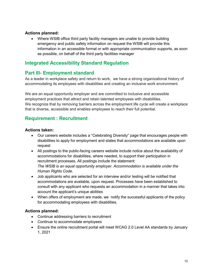#### **Actions planned:**

• Where WSIB office third party facility managers are unable to provide building emergency and public safety information on request the WSIB will provide this information in an accessible format or with appropriate communication supports, as soon as possible, on behalf of the third party facilities manager

# <span id="page-9-0"></span>**Integrated Accessibility Standard Regulation**

# <span id="page-9-1"></span>**Part lll- Employment standard**

As a leader in workplace safety and return to work, we have a strong organizational history of accommodating its employees with disabilities and creating an inclusive work environment.

We are an equal opportunity employer and are committed to inclusive and accessible employment practices that attract and retain talented employees with disabilities. We recognize that by removing barriers across the employment life cycle will create a workplace that is diverse, accessible and enables employees to reach their full potential.

# <span id="page-9-2"></span>**Requirement : Recruitment**

#### **Actions taken:**

- Our careers website includes a "Celebrating Diversity" page that encourages people with disabilities to apply for employment and states that accommodations are available upon request
- All postings to the public-facing careers website include notice about the availability of accommodations for disabilities, where needed, to support their participation in recruitment processes. All postings include the statement: *The WSIB is an equal opportunity employer. Accommodation is available under the Human Rights Code.*
- Job applicants who are selected for an interview and/or testing will be notified that accommodations are available, upon request. Processes have been established to consult with any applicant who requests an accommodation in a manner that takes into account the applicant's unique abilities
- When offers of employment are made, we notify the successful applicants of the policy for accommodating employees with disabilities.

- Continue addressing barriers to recruitment
- Continue to accommodate employees
- Ensure the online recruitment portal will meet WCAG 2.0 Level AA standards by January 1, 2021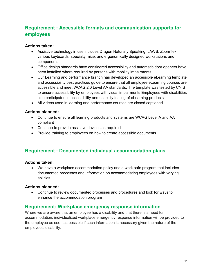# <span id="page-10-0"></span>**Requirement : Accessible formats and communication supports for employees**

#### **Actions taken:**

- Assistive technology in use includes Dragon Naturally Speaking, JAWS, ZoomText, various keyboards, specialty mice, and ergonomically designed workstations and components
- Office design standards have considered accessibility and automatic door openers have been installed where required by persons with mobility impairments
- Our Learning and performance branch has developed an accessible eLearning template and accessibility best practices guide to ensure that all employee eLearning courses are accessible and meet WCAG 2.0 Level AA standards. The template was tested by CNIB to ensure accessibility by employees with visual impairments Employees with disabilities also participated in accessibility and usability testing of eLearning products
- All videos used in learning and performance courses are closed captioned

#### **Actions planned:**

- Continue to ensure all learning products and systems are WCAG Level A and AA compliant
- Continue to provide assistive devices as required
- Provide training to employees on how to create accessible documents

# <span id="page-10-1"></span>**Requirement : Documented individual accommodation plans**

#### **Actions taken:**

• We have a workplace accommodation policy and a work safe program that includes documented processes and information on accommodating employees with varying abilities

#### **Actions planned:**

• Continue to review documented processes and procedures and look for ways to enhance the accommodation program

### <span id="page-10-2"></span>**Requirement: Workplace emergency response information**

Where we are aware that an employee has a disability and that there is a need for accommodation, individualized workplace emergency response information will be provided to the employee as soon as possible if such information is necessary given the nature of the employee's disability.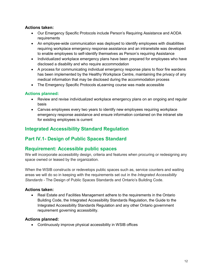#### **Actions taken:**

- Our Emergency Specific Protocols include Person's Requiring Assistance and AODA requirements
- An employee-wide communication was deployed to identify employees with disabilities requiring workplace emergency response assistance and an intranetsite was developed to enable employees to self-identify themselves as Person's requiring Assistance
- Individualized workplace emergency plans have been prepared for employees who have disclosed a disability and who require accommodation
- A process for communicating individual emergency response plans to floor fire wardens has been implemented by the Healthy Workplace Centre, maintaining the privacy of any medical information that may be disclosed during the accommodation process
- The Emergency Specific Protocols eLearning course was made accessible

#### **Actions planned:**

- Review and revise individualized workplace emergency plans on an ongoing and regular basis
- Canvas employees every two years to identify new employees requiring workplace emergency response assistance and ensure information contained on the intranet site for existing employees is current

# <span id="page-11-0"></span>**Integrated Accessibility Standard Regulation**

# <span id="page-11-1"></span>**Part lV.1- Design of Public Spaces Standard**

### <span id="page-11-2"></span>**Requirement: Accessible public spaces**

We will incorporate accessibility design, criteria and features when procuring or redesigning any space owned or leased by the organization.

When the WSIB constructs or redevelops public spaces such as, service counters and waiting areas we will do so in keeping with the requirements set out in the *Integrated Accessibility Standards -* The Design of Public Spaces Standards and [Ontario's Building Code.](https://www.ontario.ca/laws/regulation/120332)

#### **Actions taken:**

• Real Estate and Facilities Management adhere to the requirements in the Ontario Building Code, the Integrated Accessibility Standards Regulation, the Guide to the Integrated Accessibility Standards Regulation and any other Ontario government requirement governing accessibility.

#### **Actions planned:**

• Continuously improve physical accessibility in WSIB offices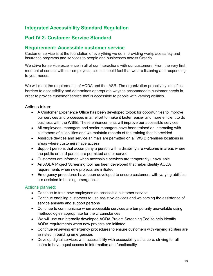# <span id="page-12-0"></span>**Integrated Accessibility Standard Regulation**

# <span id="page-12-1"></span>**Part lV.2- Customer Service Standard**

# <span id="page-12-2"></span>**Requirement: Accessible customer service**

Customer service is at the foundation of everything we do in providing workplace safety and insurance programs and services to people and businesses across Ontario.

We strive for service excellence in all of our interactions with our customers. From the very first moment of contact with our employees, clients should feel that we are listening and responding to your needs.

We will meet the requirements of AODA and the IASR. The organization proactively identifies barriers to accessibility and determines appropriate ways to accommodate customer needs in order to provide customer service that is accessible to people with varying abilities.

Actions taken:

- A Customer Experience Office has been developed tolook for opportunities to improve our services and processes in an effort to make it faster, easier and more efficient to do business with the WSIB. These enhancements will improve our accessible services
- All employees, managers and senior managers have been trained on interacting with customers of all abilities and we maintain records of the training that is provided
- Assistive devices and service animals are permitted on all WSIB premises locations in areas where customers have access
- Support persons that accompany a person with a disability are welcome in areas where the public or third parties are permitted and or served
- Customers are informed when accessible services are temporarily unavailable
- An AODA Project Screening tool has been developed that helps identify AODA requirements when new projects are initiated
- Emergency procedures have been developed to ensure customers with varying abilities are assisted in building emergencies

- Continue to train new employees on accessible customer service
- Continue enabling customers to use assistive devices and welcoming the assistance of service animals and support persons
- Continue to communicate when accessible services are temporarily unavailable using methodologies appropriate for the circumstances
- We will use our internally developed AODA Project Screening Tool to help identify AODA requirements when new projects are initiated
- Continue reviewing emergency procedures to ensure customers with varying abilities are assisted in building emergencies
- Develop digital services with accessibility with accessibility at its core, striving for all users to have equal access to information and functionality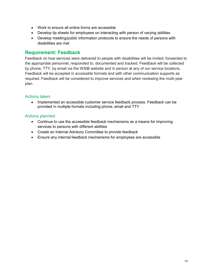- Work to ensure all online forms are accessible
- Develop tip sheets for employees on interacting with person of varying abilities
- Develop meeting/public information protocols to ensure the needs of persons with disabilities are met

#### <span id="page-13-0"></span>**Requirement: Feedback**

Feedback on how services were delivered to people with disabilities will be invited, forwarded to the appropriate personnel, responded to, documented and tracked. Feedback will be collected by phone, TTY, by email via the WSIB website and in person at any of our service locations. Feedback will be accepted in accessible formats and with other communication supports as required. Feedback will be considered to improve services and when reviewing the multi-year plan.

#### Actions taken:

• Implemented an accessible customer service feedback process. Feedback can be provided in multiple formats including phone, email and TTY

- Continue to use the accessible feedback mechanisms as a means for improving services to persons with different abilities
- Create an Internal Advisory Committee to provide feedback
- Ensure any internal feedback mechanisms for employees are accessible